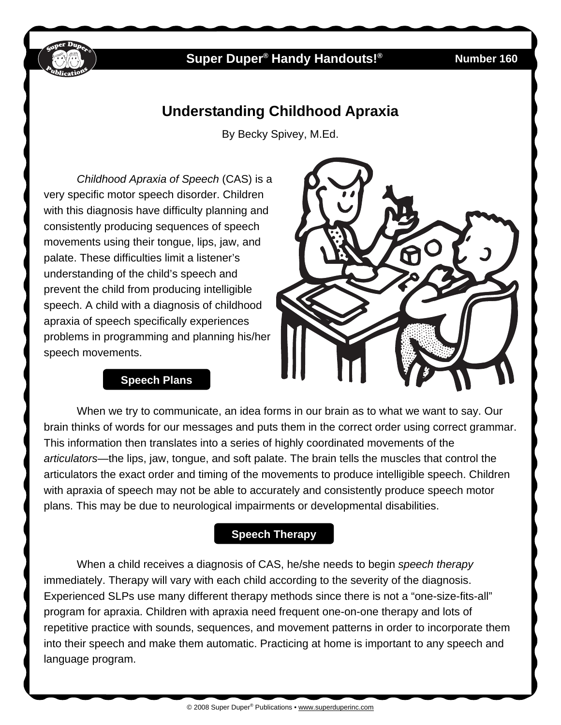

# **Super Duper® Handy Handouts!® Number 160**

# **Understanding Childhood Apraxia**

By Becky Spivey, M.Ed.

*Childhood Apraxia of Speech* (CAS) is a very specific motor speech disorder. Children with this diagnosis have difficulty planning and consistently producing sequences of speech movements using their tongue, lips, jaw, and palate. These difficulties limit a listener's understanding of the child's speech and prevent the child from producing intelligible speech. A child with a diagnosis of childhood apraxia of speech specifically experiences problems in programming and planning his/her speech movements.

#### **Speech Plans**

When we try to communicate, an idea forms in our brain as to what we want to say. Our brain thinks of words for our messages and puts them in the correct order using correct grammar. This information then translates into a series of highly coordinated movements of the *articulators—*the lips, jaw, tongue, and soft palate. The brain tells the muscles that control the articulators the exact order and timing of the movements to produce intelligible speech. Children with apraxia of speech may not be able to accurately and consistently produce speech motor plans. This may be due to neurological impairments or developmental disabilities.

#### **Speech Therapy**

When a child receives a diagnosis of CAS, he/she needs to begin *speech therapy*  immediately. Therapy will vary with each child according to the severity of the diagnosis. Experienced SLPs use many different therapy methods since there is not a "one-size-fits-all" program for apraxia. Children with apraxia need frequent one-on-one therapy and lots of repetitive practice with sounds, sequences, and movement patterns in order to incorporate them into their speech and make them automatic. Practicing at home is important to any speech and language program.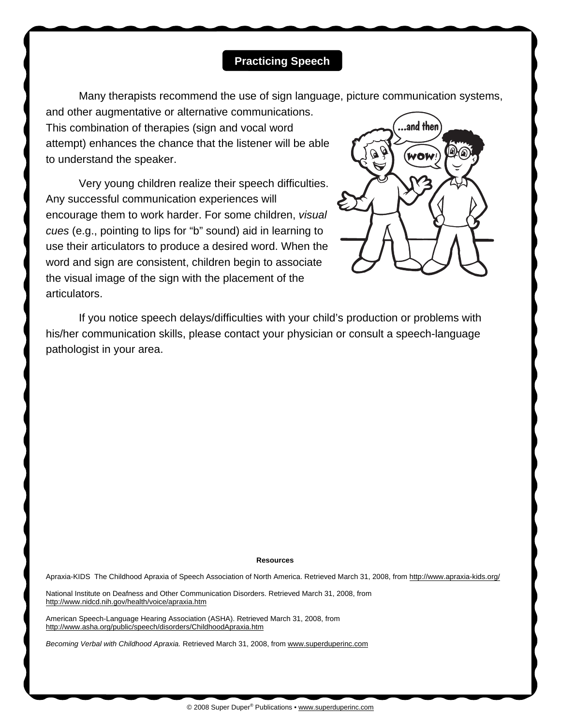## **Practicing Speech**

Many therapists recommend the use of sign language, picture communication systems,

and other augmentative or alternative communications. This combination of therapies (sign and vocal word attempt) enhances the chance that the listener will be able to understand the speaker.

Very young children realize their speech difficulties. Any successful communication experiences will encourage them to work harder. For some children, *visual cues* (e.g., pointing to lips for "b" sound) aid in learning to use their articulators to produce a desired word. When the word and sign are consistent, children begin to associate the visual image of the sign with the placement of the articulators.



If you notice speech delays/difficulties with your child's production or problems with his/her communication skills, please contact your physician or consult a speech-language pathologist in your area.

#### **Resources**

Apraxia-KIDS The Childhood Apraxia of Speech Association of North America. Retrieved March 31, 2008, from [http://www.apraxia-kids.org/](http://www.apraxia-kids.org)

National Institute on Deafness and Other Communication Disorders. Retrieved March 31, 2008, from [http://www.nidcd.nih.gov/health/voice/apraxia.htm](http://www.nidcd.nih.gov/health/voice/pages/apraxia.aspx)

American Speech-Language Hearing Association (ASHA). Retrieved March 31, 2008, from <http://www.asha.org/public/speech/disorders/ChildhoodApraxia.htm>

*Becoming Verbal with Childhood Apraxia.* Retrieved March 31, 2008, from [www.superduperinc.com](http://www.superduperinc.com/)